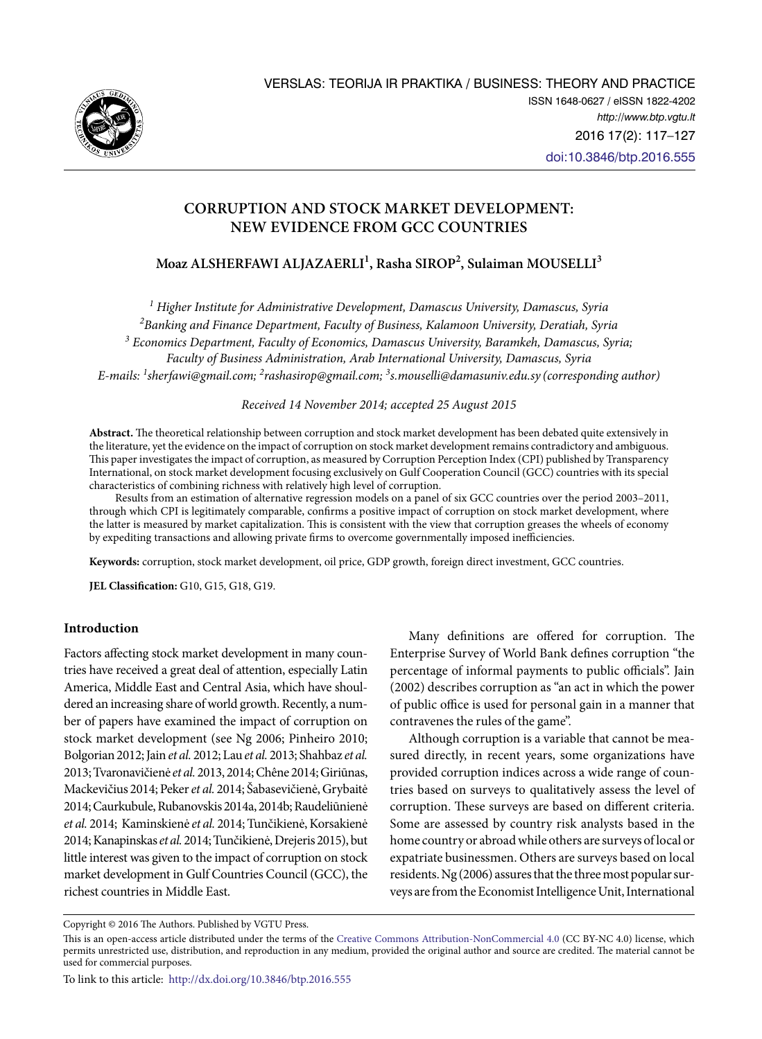

## **Corruption and Stock Market Development: New Evidence from GCC countries**

# **Moaz ALSHERFAWI ALJAZAERLI<sup>1</sup> , Rasha SIROP<sup>2</sup> , Sulaiman MOUSELLI<sup>3</sup>**

*1 Higher Institute for Administrative Development, Damascus University, Damascus, Syria 2 Banking and Finance Department, Faculty of Business, Kalamoon University, Deratiah, Syria 3 Economics Department, Faculty of Economics, Damascus University, Baramkeh, Damascus, Syria; Faculty of Business Administration, Arab International University, Damascus, Syria E-mails: 1 [sherfawi@gmail.com;](mailto:1sherfawi@gmail.com) 2 [rashasirop@gmail.com;](mailto:2rashasirop@gmail.com) 3 [s.mouselli@damasuniv.edu.sy](mailto:3s.mouselli@damasuniv.edu.sy) (corresponding author)*

*Received 14 November 2014; accepted 25 August 2015*

**Abstract.** The theoretical relationship between corruption and stock market development has been debated quite extensively in the literature, yet the evidence on the impact of corruption on stock market development remains contradictory and ambiguous. This paper investigates the impact of corruption, as measured by Corruption Perception Index (CPI) published by Transparency International, on stock market development focusing exclusively on Gulf Cooperation Council (GCC) countries with its special characteristics of combining richness with relatively high level of corruption.

Results from an estimation of alternative regression models on a panel of six GCC countries over the period 2003–2011, through which CPI is legitimately comparable, confirms a positive impact of corruption on stock market development, where the latter is measured by market capitalization. This is consistent with the view that corruption greases the wheels of economy by expediting transactions and allowing private firms to overcome governmentally imposed inefficiencies.

**Keywords:** corruption, stock market development, oil price, GDP growth, foreign direct investment, GCC countries.

**JEL Classification:** G10, G15, G18, G19.

## **Introduction**

Factors affecting stock market development in many countries have received a great deal of attention, especially Latin America, Middle East and Central Asia, which have shouldered an increasing share of world growth. Recently, a number of papers have examined the impact of corruption on stock market development (see Ng 2006; Pinheiro 2010; Bolgorian 2012; Jain *et al.* 2012; Lau *et al.* 2013; Shahbaz *et al.* 2013; Tvaronavičienė *et al.* 2013, 2014; Chêne 2014; Giriūnas, Mackevičius 2014; Peker *et al.* 2014; Šabasevičienė, Grybaitė 2014; Caurkubule, Rubanovskis 2014a, 2014b; Raudeliūnienė *et al.* 2014; Kaminskienė *et al.* 2014; Tunčikienė, Korsakienė 2014; Kanapinskas *et al.* 2014; Tunčikienė, Drejeris 2015), but little interest was given to the impact of corruption on stock market development in Gulf Countries Council (GCC), the richest countries in Middle East.

Many definitions are offered for corruption. The Enterprise Survey of World Bank defines corruption "the percentage of informal payments to public officials". Jain (2002) describes corruption as "an act in which the power of public office is used for personal gain in a manner that contravenes the rules of the game".

Although corruption is a variable that cannot be measured directly, in recent years, some organizations have provided corruption indices across a wide range of countries based on surveys to qualitatively assess the level of corruption. These surveys are based on different criteria. Some are assessed by country risk analysts based in the home country or abroad while others are surveys of local or expatriate businessmen. Others are surveys based on local residents. Ng (2006) assures that the three most popular surveys are from the Economist Intelligence Unit, International

Copyright © 2016 The Authors. Published by VGTU Press.

This is an open-access article distributed under the terms of the [Creative Commons Attribution-NonCommercial 4.0](http://creativecommons.org/licenses/by-nc/4.0/) (CC BY-NC 4.0) license, which permits unrestricted use, distribution, and reproduction in any medium, provided the original author and source are credited. The material cannot be used for commercial purposes.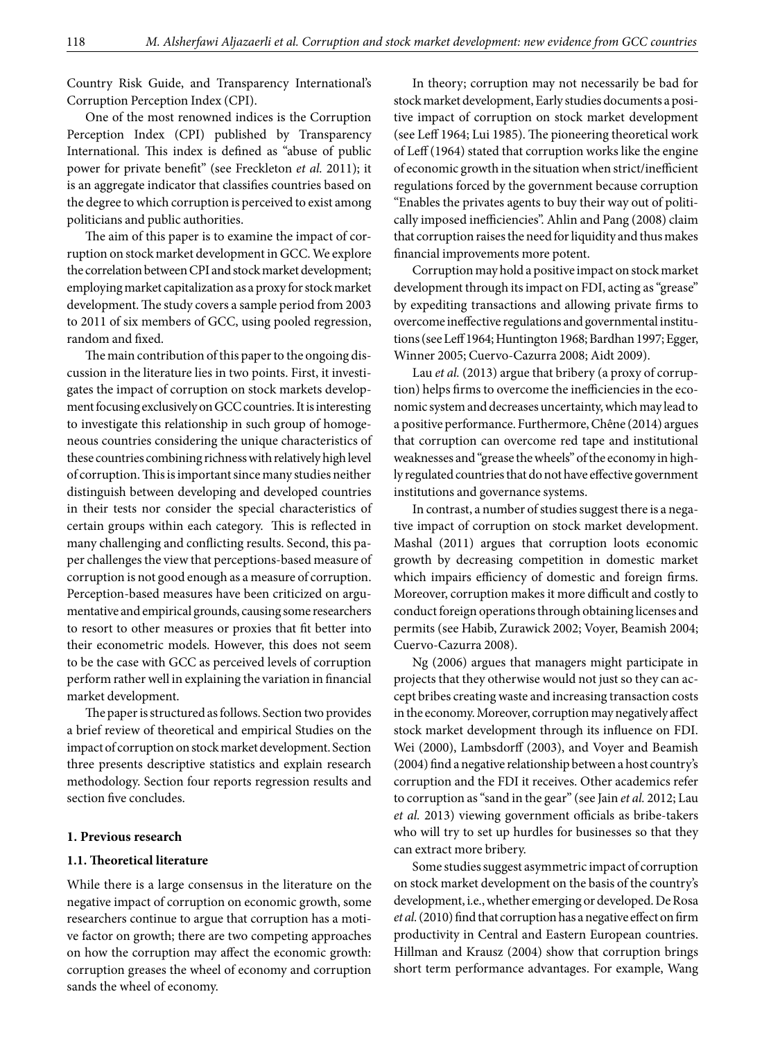Country Risk Guide, and Transparency International's Corruption Perception Index (CPI).

One of the most renowned indices is the Corruption Perception Index (CPI) published by Transparency International. This index is defined as "abuse of public power for private benefit" (see Freckleton *et al.* 2011); it is an aggregate indicator that classifies countries based on the degree to which corruption is perceived to exist among politicians and public authorities.

The aim of this paper is to examine the impact of corruption on stock market development in GCC. We explore the correlation between CPI and stock market development; employing market capitalization as a proxy for stock market development. The study covers a sample period from 2003 to 2011 of six members of GCC, using pooled regression, random and fixed.

The main contribution of this paper to the ongoing discussion in the literature lies in two points. First, it investigates the impact of corruption on stock markets development focusing exclusively on GCC countries. It is interesting to investigate this relationship in such group of homogeneous countries considering the unique characteristics of these countries combining richness with relatively high level of corruption. This is important since many studies neither distinguish between developing and developed countries in their tests nor consider the special characteristics of certain groups within each category. This is reflected in many challenging and conflicting results. Second, this paper challenges the view that perceptions-based measure of corruption is not good enough as a measure of corruption. Perception-based measures have been criticized on argumentative and empirical grounds, causing some researchers to resort to other measures or proxies that fit better into their econometric models. However, this does not seem to be the case with GCC as perceived levels of corruption perform rather well in explaining the variation in financial market development.

The paper is structured as follows. Section two provides a brief review of theoretical and empirical Studies on the impact of corruption on stock market development. Section three presents descriptive statistics and explain research methodology. Section four reports regression results and section five concludes.

#### **1. Previous research**

### **1.1. Theoretical literature**

While there is a large consensus in the literature on the negative impact of corruption on economic growth, some researchers continue to argue that corruption has a motive factor on growth; there are two competing approaches on how the corruption may affect the economic growth: corruption greases the wheel of economy and corruption sands the wheel of economy.

In theory; corruption may not necessarily be bad for stock market development, Early studies documents a positive impact of corruption on stock market development (see Leff 1964; Lui 1985). The pioneering theoretical work of Leff (1964) stated that corruption works like the engine of economic growth in the situation when strict/inefficient regulations forced by the government because corruption "Enables the privates agents to buy their way out of politically imposed inefficiencies". Ahlin and Pang (2008) claim that corruption raises the need for liquidity and thus makes financial improvements more potent.

Corruption may hold a positive impact on stock market development through its impact on FDI, acting as "grease" by expediting transactions and allowing private firms to overcome ineffective regulations and governmental institutions (see Leff 1964; Huntington 1968; Bardhan 1997; Egger, Winner 2005; Cuervo-Cazurra 2008; Aidt 2009).

Lau *et al.* (2013) argue that bribery (a proxy of corruption) helps firms to overcome the inefficiencies in the economic system and decreases uncertainty, which may lead to a positive performance. Furthermore, Chêne (2014) argues that corruption can overcome red tape and institutional weaknesses and "grease the wheels" of the economy in highly regulated countries that do not have effective government institutions and governance systems.

In contrast, a number of studies suggest there is a negative impact of corruption on stock market development. Mashal (2011) argues that corruption loots economic growth by decreasing competition in domestic market which impairs efficiency of domestic and foreign firms. Moreover, corruption makes it more difficult and costly to conduct foreign operations through obtaining licenses and permits (see Habib, Zurawick 2002; Voyer, Beamish 2004; Cuervo-Cazurra 2008).

Ng (2006) argues that managers might participate in projects that they otherwise would not just so they can accept bribes creating waste and increasing transaction costs in the economy. Moreover, corruption may negatively affect stock market development through its influence on FDI. Wei (2000), Lambsdorff (2003), and Voyer and Beamish (2004) find a negative relationship between a host country's corruption and the FDI it receives. Other academics refer to corruption as "sand in the gear" (see Jain *et al.* 2012; Lau *et al.* 2013) viewing government officials as bribe-takers who will try to set up hurdles for businesses so that they can extract more bribery.

Some studies suggest asymmetric impact of corruption on stock market development on the basis of the country's development, i.e., whether emerging or developed. De Rosa *et al.* (2010) find that corruption has a negative effect on firm productivity in Central and Eastern European countries. Hillman and Krausz (2004) show that corruption brings short term performance advantages. For example, Wang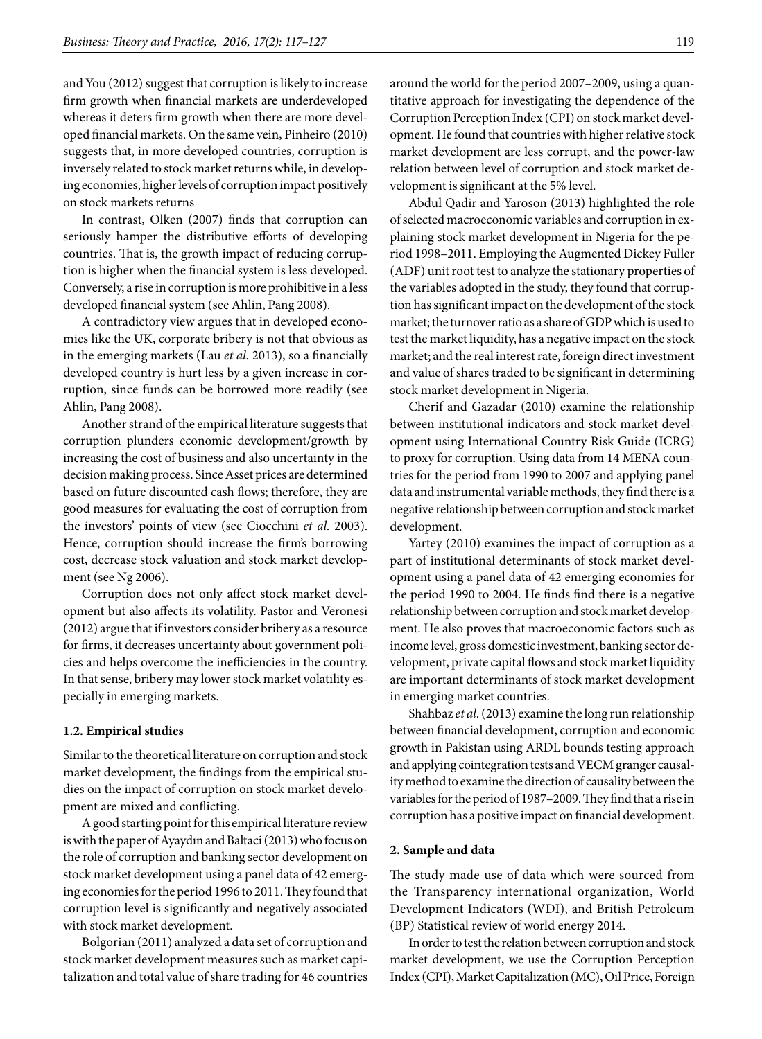and You (2012) suggest that corruption is likely to increase firm growth when financial markets are underdeveloped whereas it deters firm growth when there are more developed financial markets. On the same vein, Pinheiro (2010) suggests that, in more developed countries, corruption is inversely related to stock market returns while, in developing economies, higher levels of corruption impact positively on stock markets returns

In contrast, Olken (2007) finds that corruption can seriously hamper the distributive efforts of developing countries. That is, the growth impact of reducing corruption is higher when the financial system is less developed. Conversely, a rise in corruption is more prohibitive in a less developed financial system (see Ahlin, Pang 2008).

A contradictory view argues that in developed economies like the UK, corporate bribery is not that obvious as in the emerging markets (Lau *et al.* 2013), so a financially developed country is hurt less by a given increase in corruption, since funds can be borrowed more readily (see Ahlin, Pang 2008).

Another strand of the empirical literature suggests that corruption plunders economic development/growth by increasing the cost of business and also uncertainty in the decision making process. Since Asset prices are determined based on future discounted cash flows; therefore, they are good measures for evaluating the cost of corruption from the investors' points of view (see Ciocchini *et al.* 2003). Hence, corruption should increase the firm's borrowing cost, decrease stock valuation and stock market development (see Ng 2006).

Corruption does not only affect stock market development but also affects its volatility. Pastor and Veronesi (2012) argue that if investors consider bribery as a resource for firms, it decreases uncertainty about government policies and helps overcome the inefficiencies in the country. In that sense, bribery may lower stock market volatility especially in emerging markets.

## **1.2. Empirical studies**

Similar to the theoretical literature on corruption and stock market development, the findings from the empirical studies on the impact of corruption on stock market development are mixed and conflicting.

A good starting point for this empirical literature review is with the paper of Ayaydın and Baltaci (2013) who focus on the role of corruption and banking sector development on stock market development using a panel data of 42 emerging economies for the period 1996 to 2011. They found that corruption level is significantly and negatively associated with stock market development.

Bolgorian (2011) analyzed a data set of corruption and stock market development measures such as market capitalization and total value of share trading for 46 countries around the world for the period 2007–2009, using a quantitative approach for investigating the dependence of the Corruption Perception Index (CPI) on stock market development. He found that countries with higher relative stock market development are less corrupt, and the power-law relation between level of corruption and stock market development is significant at the 5% level.

Abdul Qadir and Yaroson (2013) highlighted the role of selected macroeconomic variables and corruption in explaining stock market development in Nigeria for the period 1998–2011. Employing the Augmented Dickey Fuller (ADF) unit root test to analyze the stationary properties of the variables adopted in the study, they found that corruption has significant impact on the development of the stock market; the turnover ratio as a share of GDP which is used to test the market liquidity, has a negative impact on the stock market; and the real interest rate, foreign direct investment and value of shares traded to be significant in determining stock market development in Nigeria.

Cherif and Gazadar (2010) examine the relationship between institutional indicators and stock market development using International Country Risk Guide (ICRG) to proxy for corruption. Using data from 14 MENA countries for the period from 1990 to 2007 and applying panel data and instrumental variable methods, they find there is a negative relationship between corruption and stock market development.

Yartey (2010) examines the impact of corruption as a part of institutional determinants of stock market development using a panel data of 42 emerging economies for the period 1990 to 2004. He finds find there is a negative relationship between corruption and stock market development. He also proves that macroeconomic factors such as income level, gross domestic investment, banking sector development, private capital flows and stock market liquidity are important determinants of stock market development in emerging market countries.

Shahbaz *et al*. (2013) examine the long run relationship between financial development, corruption and economic growth in Pakistan using ARDL bounds testing approach and applying cointegration tests and VECM granger causality method to examine the direction of causality between the variables for the period of 1987–2009. They find that a rise in corruption has a positive impact on financial development.

#### **2. Sample and data**

The study made use of data which were sourced from the Transparency international organization, World Development Indicators (WDI), and British Petroleum (BP) Statistical review of world energy 2014.

In order to test the relation between corruption and stock market development, we use the Corruption Perception Index (CPI), Market Capitalization (MC), Oil Price, Foreign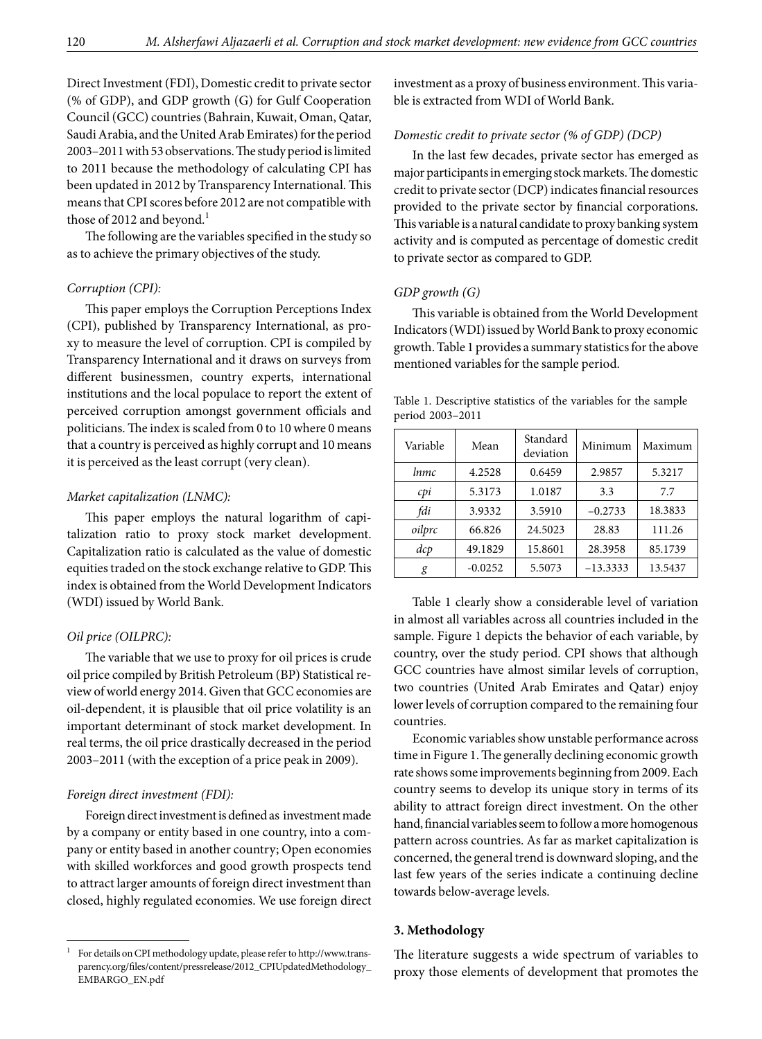Direct Investment (FDI), Domestic credit to private sector (% of GDP), and GDP growth (G) for Gulf Cooperation Council (GCC) countries (Bahrain, Kuwait, Oman, Qatar, Saudi Arabia, and the United Arab Emirates) for the period 2003–2011 with 53 observations. The study period is limited to 2011 because the methodology of calculating CPI has been updated in 2012 by Transparency International. This means that CPI scores before 2012 are not compatible with those of 2012 and beyond.<sup>1</sup>

The following are the variables specified in the study so as to achieve the primary objectives of the study.

## *Corruption (CPI):*

This paper employs the Corruption Perceptions Index (CPI), published by Transparency International, as proxy to measure the level of corruption. CPI is compiled by Transparency International and it draws on surveys from different businessmen, country experts, international institutions and the local populace to report the extent of perceived corruption amongst government officials and politicians. The index is scaled from 0 to 10 where 0 means that a country is perceived as highly corrupt and 10 means it is perceived as the least corrupt (very clean).

#### *Market capitalization (LNMC):*

This paper employs the natural logarithm of capitalization ratio to proxy stock market development. Capitalization ratio is calculated as the value of domestic equities traded on the stock exchange relative to GDP. This index is obtained from the World Development Indicators (WDI) issued by World Bank.

#### *Oil price (OILPRC):*

The variable that we use to proxy for oil prices is crude oil price compiled by British Petroleum (BP) Statistical review of world energy 2014. Given that GCC economies are oil-dependent, it is plausible that oil price volatility is an important determinant of stock market development. In real terms, the oil price drastically decreased in the period 2003–2011 (with the exception of a price peak in 2009).

#### *Foreign direct investment (FDI):*

Foreign direct investment is defined as investment made by a company or entity based in one country, into a company or entity based in another country; Open economies with skilled workforces and good growth prospects tend to attract larger amounts of foreign direct investment than closed, highly regulated economies. We use foreign direct investment as a proxy of business environment. This variable is extracted from WDI of World Bank.

### *Domestic credit to private sector (% of GDP) (DCP)*

In the last few decades, private sector has emerged as major participants in emerging stock markets. The domestic credit to private sector (DCP) indicates financial resources provided to the private sector by financial corporations. This variable is a natural candidate to proxy banking system activity and is computed as percentage of domestic credit to private sector as compared to GDP.

#### *GDP growth (G)*

This variable is obtained from the World Development Indicators (WDI) issued by World Bank to proxy economic growth. Table 1 provides a summary statistics for the above mentioned variables for the sample period.

Table 1. Descriptive statistics of the variables for the sample period 2003–2011

| Variable | Mean      | Standard<br>deviation | Minimum    | Maximum |  |  |  |
|----------|-----------|-----------------------|------------|---------|--|--|--|
| lnmc     | 4.2528    | 0.6459                | 2.9857     | 5.3217  |  |  |  |
| cpi      | 5.3173    | 1.0187                | 3.3        | 7.7     |  |  |  |
| fdi      | 3.9332    | 3.5910                | $-0.2733$  | 18.3833 |  |  |  |
| oilprc   | 66.826    | 24.5023               | 28.83      | 111.26  |  |  |  |
| dcp      | 49.1829   | 15.8601               | 28.3958    | 85.1739 |  |  |  |
| g        | $-0.0252$ | 5.5073                | $-13.3333$ | 13.5437 |  |  |  |

Table 1 clearly show a considerable level of variation in almost all variables across all countries included in the sample. Figure 1 depicts the behavior of each variable, by country, over the study period. CPI shows that although GCC countries have almost similar levels of corruption, two countries (United Arab Emirates and Qatar) enjoy lower levels of corruption compared to the remaining four countries.

Economic variables show unstable performance across time in Figure 1. The generally declining economic growth rate shows some improvements beginning from 2009. Each country seems to develop its unique story in terms of its ability to attract foreign direct investment. On the other hand, financial variables seem to follow a more homogenous pattern across countries. As far as market capitalization is concerned, the general trend is downward sloping, and the last few years of the series indicate a continuing decline towards below-average levels.

#### **3. Methodology**

The literature suggests a wide spectrum of variables to proxy those elements of development that promotes the

<sup>1</sup> For details on CPI methodology update, please refer to [http://www.trans](http://www.transparency.org/files/content/pressrelease/2012_CPIUpdatedMethodology_EMBARGO_EN.pdf)[parency.org/files/content/pressrelease/2012\\_CPIUpdatedMethodology\\_](http://www.transparency.org/files/content/pressrelease/2012_CPIUpdatedMethodology_EMBARGO_EN.pdf) [EMBARGO\\_EN.pdf](http://www.transparency.org/files/content/pressrelease/2012_CPIUpdatedMethodology_EMBARGO_EN.pdf)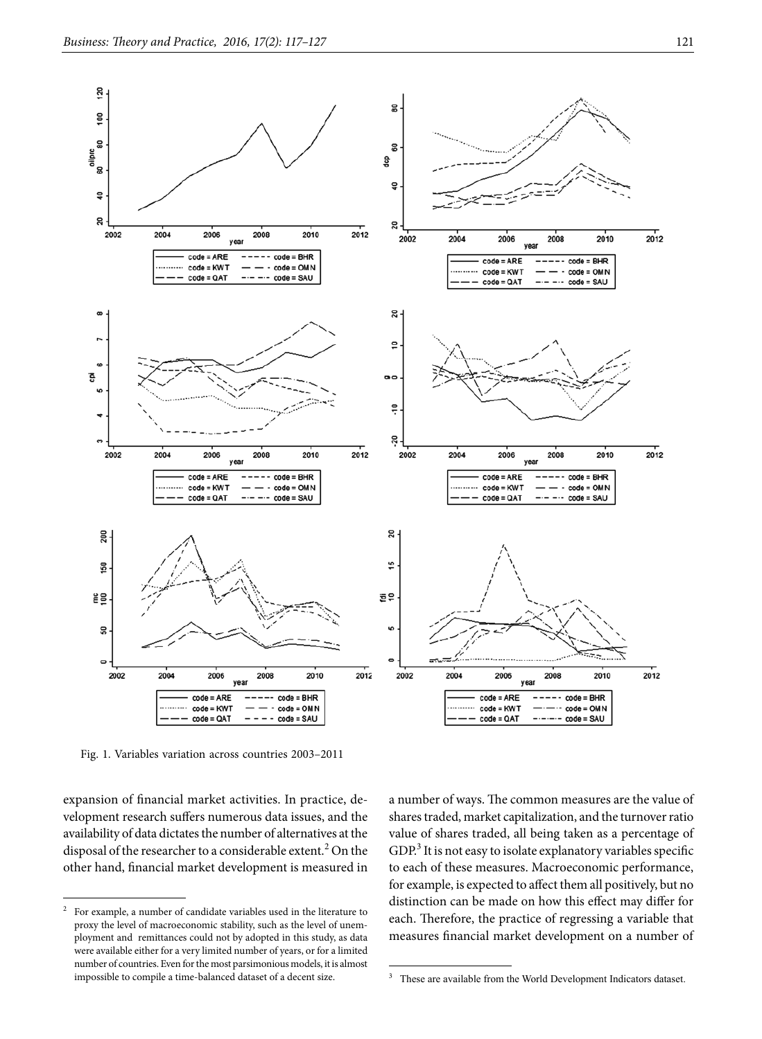

Fig. 1. Variables variation across countries 2003–2011

expansion of financial market activities. In practice, development research suffers numerous data issues, and the availability of data dictates the number of alternatives at the disposal of the researcher to a considerable extent.<sup>2</sup> On the other hand, financial market development is measured in

a number of ways. The common measures are the value of shares traded, market capitalization, and the turnover ratio value of shares traded, all being taken as a percentage of GDP.<sup>3</sup> It is not easy to isolate explanatory variables specific to each of these measures. Macroeconomic performance, for example, is expected to affect them all positively, but no distinction can be made on how this effect may differ for each. Therefore, the practice of regressing a variable that measures financial market development on a number of

<sup>2</sup> For example, a number of candidate variables used in the literature to proxy the level of macroeconomic stability, such as the level of unemployment and remittances could not by adopted in this study, as data were available either for a very limited number of years, or for a limited number of countries. Even for the most parsimonious models, it is almost impossible to compile a time-balanced dataset of a decent size.

<sup>&</sup>lt;sup>3</sup> These are available from the World Development Indicators dataset.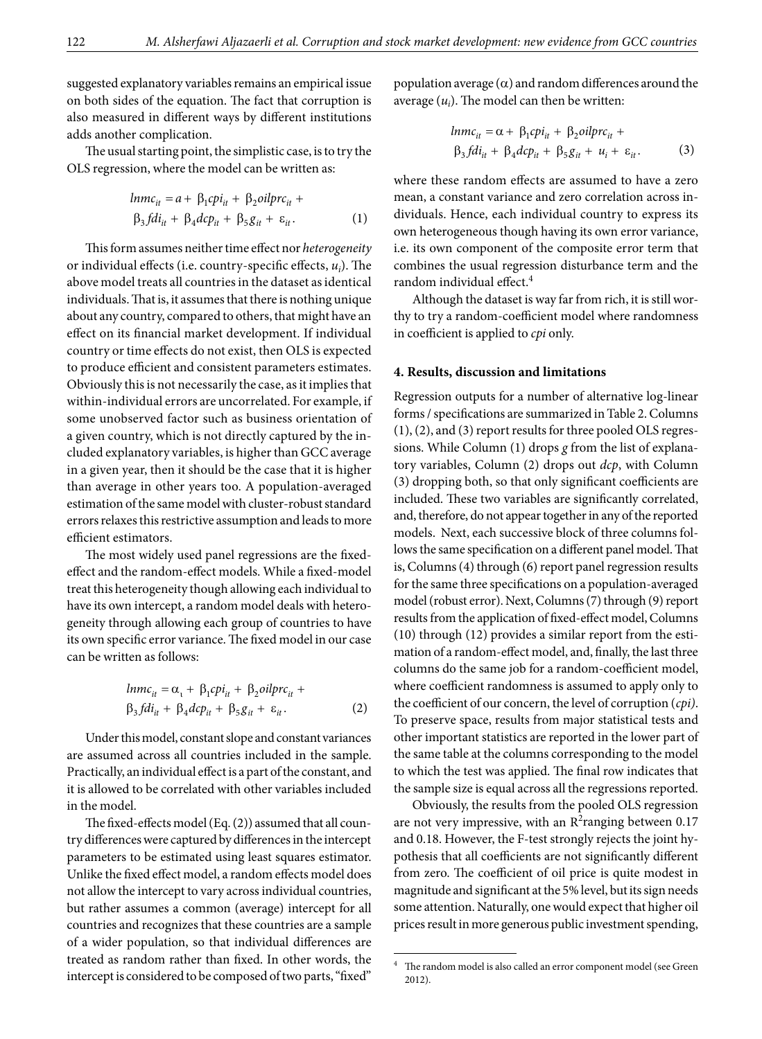suggested explanatory variables remains an empirical issue on both sides of the equation. The fact that corruption is also measured in different ways by different institutions adds another complication.

The usual starting point, the simplistic case, is to try the OLS regression, where the model can be written as:

$$
lnmc_{it} = a + \beta_1 cpi_{it} + \beta_2 oil prc_{it} + \n\beta_3 fdi_{it} + \beta_4 dcp_{it} + \beta_5 g_{it} + \varepsilon_{it}.
$$
\n(1)

This form assumes neither time effect nor *heterogeneity*  or individual effects (i.e. country-specific effects, *ui* ). The above model treats all countries in the dataset as identical individuals. That is, it assumes that there is nothing unique about any country, compared to others, that might have an effect on its financial market development. If individual country or time effects do not exist, then OLS is expected to produce efficient and consistent parameters estimates. Obviously this is not necessarily the case, as it implies that within-individual errors are uncorrelated. For example, if some unobserved factor such as business orientation of a given country, which is not directly captured by the included explanatory variables, is higher than GCC average in a given year, then it should be the case that it is higher than average in other years too. A population-averaged estimation of the same model with cluster-robust standard errors relaxes this restrictive assumption and leads to more efficient estimators.

The most widely used panel regressions are the fixedeffect and the random-effect models. While a fixed-model treat this heterogeneity though allowing each individual to have its own intercept, a random model deals with heterogeneity through allowing each group of countries to have its own specific error variance. The fixed model in our case can be written as follows:

$$
lnmc_{it} = \alpha_{t} + \beta_{1}cpi_{it} + \beta_{2}oilprc_{it} +
$$
  
\n
$$
\beta_{3}fdi_{it} + \beta_{4}dcp_{it} + \beta_{5}g_{it} + \varepsilon_{it}.
$$
\n(2)

Under this model, constant slope and constant variances are assumed across all countries included in the sample. Practically, an individual effect is a part of the constant, and it is allowed to be correlated with other variables included in the model.

The fixed-effects model (Eq. (2)) assumed that all country differences were captured by differences in the intercept parameters to be estimated using least squares estimator. Unlike the fixed effect model, a random effects model does not allow the intercept to vary across individual countries, but rather assumes a common (average) intercept for all countries and recognizes that these countries are a sample of a wider population, so that individual differences are treated as random rather than fixed. In other words, the intercept is considered to be composed of two parts, "fixed"

population average  $(\alpha)$  and random differences around the average  $(u_i)$ . The model can then be written:

$$
lnmc_{it} = \alpha + \beta_1 cpi_{it} + \beta_2 oil prc_{it} +
$$
  
\n
$$
\beta_3 fdi_{it} + \beta_4 dcp_{it} + \beta_5 g_{it} + u_i + \varepsilon_{it}.
$$
 (3)

where these random effects are assumed to have a zero mean, a constant variance and zero correlation across individuals. Hence, each individual country to express its own heterogeneous though having its own error variance, i.e. its own component of the composite error term that combines the usual regression disturbance term and the random individual effect.4

Although the dataset is way far from rich, it is still worthy to try a random-coefficient model where randomness in coefficient is applied to *cpi* only.

#### **4. Results, discussion and limitations**

Regression outputs for a number of alternative log-linear forms / specifications are summarized in Table 2. Columns (1), (2), and (3) report results for three pooled OLS regressions. While Column (1) drops *g* from the list of explanatory variables, Column (2) drops out *dcp*, with Column (3) dropping both, so that only significant coefficients are included. These two variables are significantly correlated, and, therefore, do not appear together in any of the reported models. Next, each successive block of three columns follows the same specification on a different panel model. That is, Columns (4) through (6) report panel regression results for the same three specifications on a population-averaged model (robust error). Next, Columns (7) through (9) report results from the application of fixed-effect model, Columns (10) through (12) provides a similar report from the estimation of a random-effect model, and, finally, the last three columns do the same job for a random-coefficient model, where coefficient randomness is assumed to apply only to the coefficient of our concern, the level of corruption (*cpi)*. To preserve space, results from major statistical tests and other important statistics are reported in the lower part of the same table at the columns corresponding to the model to which the test was applied. The final row indicates that the sample size is equal across all the regressions reported.

Obviously, the results from the pooled OLS regression are not very impressive, with an  $R^2$ ranging between 0.17 and 0.18. However, the F-test strongly rejects the joint hypothesis that all coefficients are not significantly different from zero. The coefficient of oil price is quite modest in magnitude and significant at the 5% level, but its sign needs some attention. Naturally, one would expect that higher oil prices result in more generous public investment spending,

 $^4\;$  The random model is also called an error component model (see Green 2012).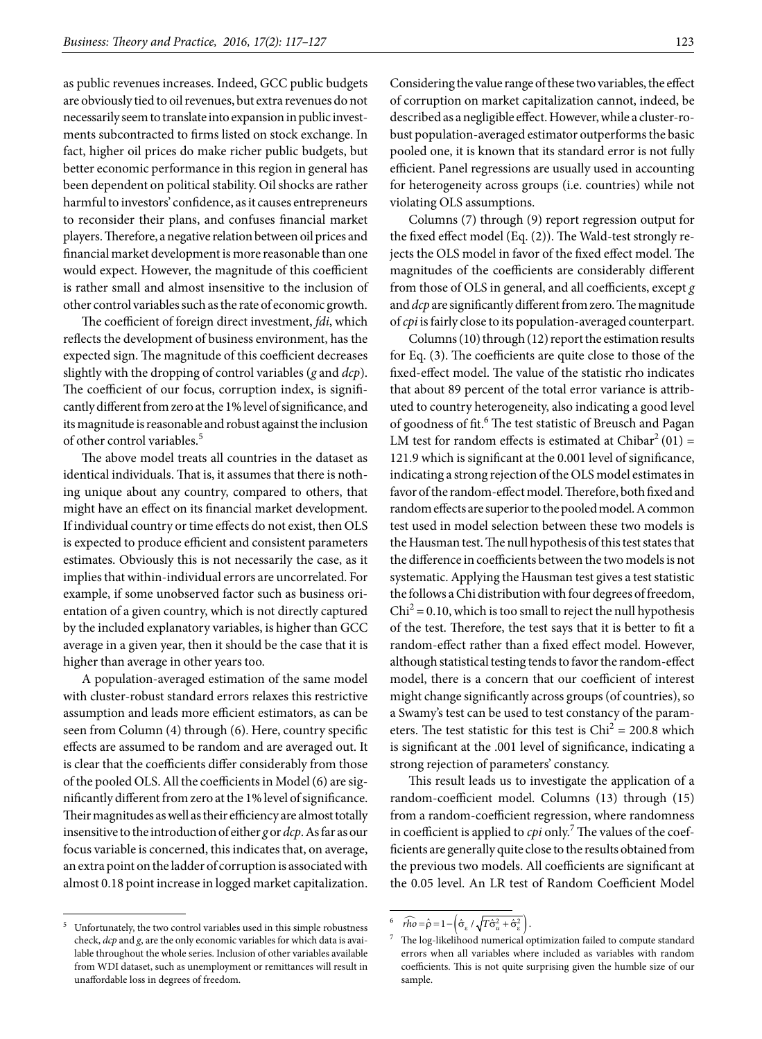as public revenues increases. Indeed, GCC public budgets are obviously tied to oil revenues, but extra revenues do not necessarily seem to translate into expansion in public investments subcontracted to firms listed on stock exchange. In fact, higher oil prices do make richer public budgets, but better economic performance in this region in general has been dependent on political stability. Oil shocks are rather harmful to investors' confidence, as it causes entrepreneurs to reconsider their plans, and confuses financial market players. Therefore, a negative relation between oil prices and financial market development is more reasonable than one would expect. However, the magnitude of this coefficient is rather small and almost insensitive to the inclusion of other control variables such as the rate of economic growth.

The coefficient of foreign direct investment, *fdi*, which reflects the development of business environment, has the expected sign. The magnitude of this coefficient decreases slightly with the dropping of control variables (*g* and *dcp*). The coefficient of our focus, corruption index, is significantly different from zero at the 1% level of significance, and its magnitude is reasonable and robust against the inclusion of other control variables.<sup>5</sup>

The above model treats all countries in the dataset as identical individuals. That is, it assumes that there is nothing unique about any country, compared to others, that might have an effect on its financial market development. If individual country or time effects do not exist, then OLS is expected to produce efficient and consistent parameters estimates. Obviously this is not necessarily the case, as it implies that within-individual errors are uncorrelated. For example, if some unobserved factor such as business orientation of a given country, which is not directly captured by the included explanatory variables, is higher than GCC average in a given year, then it should be the case that it is higher than average in other years too.

A population-averaged estimation of the same model with cluster-robust standard errors relaxes this restrictive assumption and leads more efficient estimators, as can be seen from Column (4) through (6). Here, country specific effects are assumed to be random and are averaged out. It is clear that the coefficients differ considerably from those of the pooled OLS. All the coefficients in Model (6) are significantly different from zero at the 1% level of significance. Their magnitudes as well as their efficiency are almost totally insensitive to the introduction of either *g* or *dcp*. As far as our focus variable is concerned, this indicates that, on average, an extra point on the ladder of corruption is associated with almost 0.18 point increase in logged market capitalization.

Considering the value range of these two variables, the effect of corruption on market capitalization cannot, indeed, be described as a negligible effect. However, while a cluster-robust population-averaged estimator outperforms the basic pooled one, it is known that its standard error is not fully efficient. Panel regressions are usually used in accounting for heterogeneity across groups (i.e. countries) while not violating OLS assumptions.

Columns (7) through (9) report regression output for the fixed effect model (Eq. (2)). The Wald-test strongly rejects the OLS model in favor of the fixed effect model. The magnitudes of the coefficients are considerably different from those of OLS in general, and all coefficients, except *g* and *dcp* are significantly different from zero. The magnitude of *cpi* is fairly close to its population-averaged counterpart.

Columns (10) through (12) report the estimation results for Eq. (3). The coefficients are quite close to those of the fixed-effect model. The value of the statistic rho indicates that about 89 percent of the total error variance is attributed to country heterogeneity, also indicating a good level of goodness of fit.<sup>6</sup> The test statistic of Breusch and Pagan LM test for random effects is estimated at Chibar<sup>2</sup> (01) = 121.9 which is significant at the 0.001 level of significance, indicating a strong rejection of the OLS model estimates in favor of the random-effect model. Therefore, both fixed and random effects are superior to the pooled model. A common test used in model selection between these two models is the Hausman test. The null hypothesis of this test states that the difference in coefficients between the two models is not systematic. Applying the Hausman test gives a test statistic the follows a Chi distribution with four degrees of freedom,  $Chi<sup>2</sup> = 0.10$ , which is too small to reject the null hypothesis of the test. Therefore, the test says that it is better to fit a random-effect rather than a fixed effect model. However, although statistical testing tends to favor the random-effect model, there is a concern that our coefficient of interest might change significantly across groups (of countries), so a Swamy's test can be used to test constancy of the parameters. The test statistic for this test is  $Chi^2 = 200.8$  which is significant at the .001 level of significance, indicating a strong rejection of parameters' constancy.

This result leads us to investigate the application of a random-coefficient model. Columns (13) through (15) from a random-coefficient regression, where randomness in coefficient is applied to *cpi* only.<sup>7</sup> The values of the coefficients are generally quite close to the results obtained from the previous two models. All coefficients are significant at the 0.05 level. An LR test of Random Coefficient Model

<sup>5</sup> Unfortunately, the two control variables used in this simple robustness check, *dcp* and *g*, are the only economic variables for which data is available throughout the whole series. Inclusion of other variables available from WDI dataset, such as unemployment or remittances will result in unaffordable loss in degrees of freedom.

 $\widehat{rho} = \widehat{\rho} = 1 - \left( \widehat{\sigma}_{\varepsilon} / \sqrt{T \widehat{\sigma}_{u}^{2} + \widehat{\sigma}_{\varepsilon}^{2}} \right).$ 

<sup>7</sup> The log-likelihood numerical optimization failed to compute standard errors when all variables where included as variables with random coefficients. This is not quite surprising given the humble size of our sample.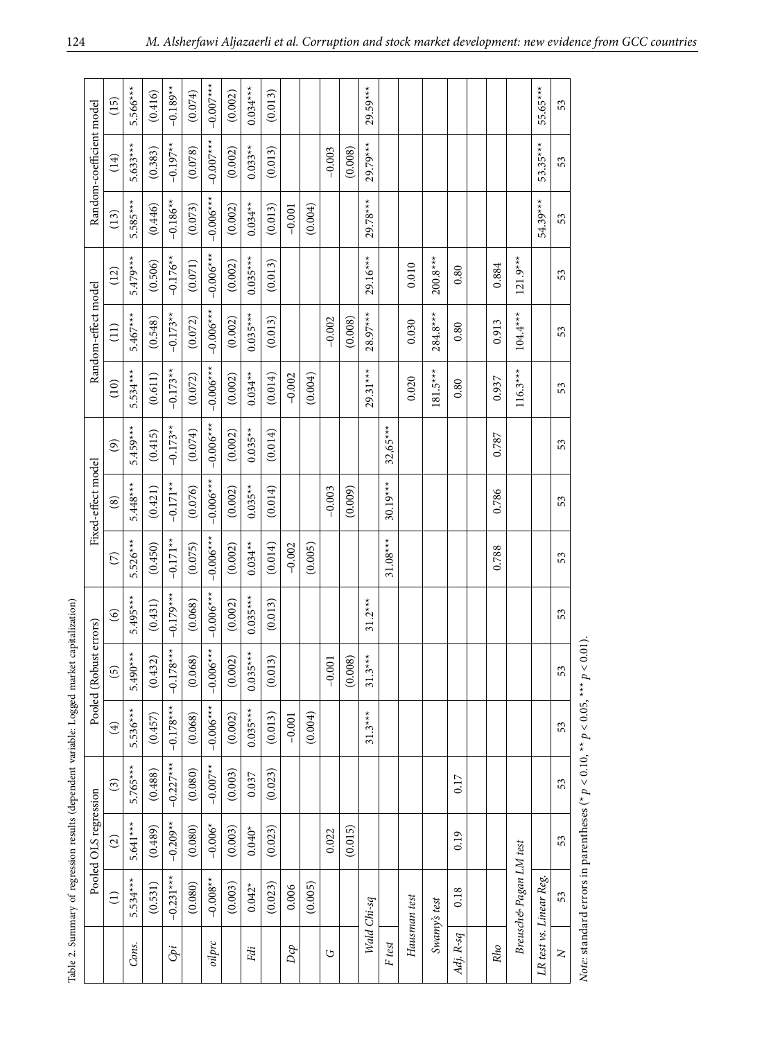|  | Random-coefficient model                  | (15)            | $5.566***$ | (0.416) | $-0.189**$  | (0.074) | $-0.007$ *** | (0.002) | $0.034***$ | (0.013) |          |         |          |         | $29.59***$  |            |              |              |           |       |                        | 55.65***                | 53     |
|--|-------------------------------------------|-----------------|------------|---------|-------------|---------|--------------|---------|------------|---------|----------|---------|----------|---------|-------------|------------|--------------|--------------|-----------|-------|------------------------|-------------------------|--------|
|  |                                           | (14)            | $5.633***$ | (0.383) | $-0.197**$  | (0.078) | $-0.007$ *** | (0.002) | $0.033**$  | (0.013) |          |         | $-0.003$ | (0.008) | 29.79***    |            |              |              |           |       |                        | 53.35***                | 53     |
|  |                                           | (13)            | 5.585***   | (0.446) | $-0.186**$  | (0.073) | $-0.006***$  | (0.002) | $0.034**$  | (0.013) | $-0.001$ | (0.004) |          |         | 29.78***    |            |              |              |           |       |                        | 54.39***                | 53     |
|  | Random-effect model<br>Fixed-effect model | (12)            | 5.479***   | (0.506) | $-0.176**$  | (0.071) | $-0.006$ **  | (0.002) | $0.035***$ | (0.013) |          |         |          |         | $29.16***$  |            | 0.010        | $200.8***$   | 0.80      | 0.884 | $121.9***$             |                         | 53     |
|  |                                           | $\widehat{\Xi}$ | $5.467***$ | (0.548) | $-0.173**$  | (0.072) | $-0.006$ **  | (0.002) | $0.035***$ | (0.013) |          |         | $-0.002$ | (0.008) | 28.97***    |            | 0.030        | $284.8***$   | 0.80      | 0.913 | $104.4***$             |                         | 53     |
|  |                                           | (10)            | $5.534***$ | (0.611) | $-0.173**$  | (0.072) | $-0.006$ **  | (0.002) | $0.034***$ | (0.014) | $-0.002$ | (0.004) |          |         | $29.31***$  |            | 0.020        | $181.5***$   | 0.80      | 0.937 | $116.3***$             |                         | 53     |
|  |                                           | $\odot$         | $5.459***$ | (0.415) | $-0.173**$  | (0.074) | $-0.006$ *** | (0.002) | $0.035**$  | (0.014) |          |         |          |         |             | $32,65***$ |              |              |           | 0.787 |                        |                         | 53     |
|  |                                           | $\circled{s}$   | $5.448***$ | (0.421) | $-0.171**$  | (0.076) | $-0.006$ *** | (0.002) | $0.035***$ | (0.014) |          |         | $-0.003$ | (0.009) |             | $30.19***$ |              |              |           | 0.786 |                        |                         | 53     |
|  |                                           | $\widehat{C}$   | $5.526***$ | (0.450) | $-0.171**$  | (0.075) | $-0.006$ **  | (0.002) | $0.034***$ | (0.014) | $-0.002$ | (0.005) |          |         |             | $31.08***$ |              |              |           | 0.788 |                        |                         | 53     |
|  | Pooled (Robust errors)                    | $\circledcirc$  | $5.495***$ | (0.431) | $-0.179***$ | (0.068) | $-0.006$ **  | (0.002) | $0.035***$ | (0.013) |          |         |          |         | $31.2***$   |            |              |              |           |       |                        |                         | 53     |
|  |                                           | $\overline{5}$  | $5.490***$ | (0.432) | $-0.178***$ | (0.068) | $-0.006$ **  | (0.002) | $0.035***$ | (0.013) |          |         | $-0.001$ | (0.008) | $31.3***$   |            |              |              |           |       |                        |                         | 53     |
|  |                                           | $\bigoplus$     | $5.536***$ | (0.457) | $-0.178**$  | (0.068) | $-0.006$ *** | (0.002) | $0.035***$ | (0.013) | $-0.001$ | (0.004) |          |         | $31.3***$   |            |              |              |           |       |                        |                         | 53     |
|  |                                           | $\widehat{c}$   | $5.765***$ | (0.488) | $-0.227***$ | (0.080) | $-0.007**$   | (0.003) | 0.037      | (0.023) |          |         |          |         |             |            |              |              | 0.17      |       |                        |                         | 53     |
|  | Pooled OLS regression                     | $\odot$         | $5.641***$ | (0.489) | $-0.209**$  | (0.080) | $-0.006*$    | (0.003) | $0.040*$   | (0.023) |          |         | 0.022    | (0.015) |             |            |              |              | 0.19      |       |                        |                         | 53     |
|  |                                           | $\widehat{\Xi}$ | $5.534***$ | (0.531) | $-0.231***$ | (0.080) | $-0.008**$   | (0.003) | $0.042*$   | (0.023) | 0.006    | (0.005) |          |         |             |            |              |              | 0.18      |       | Breusch& Pagan LM test |                         | 53     |
|  |                                           |                 | Cons.      |         | Cpi         |         | oilprc       |         | Fdi        |         | Dcp      |         | O        |         | Wald Chi-sq | $F\, test$ | Hausman test | Swamy's test | Adj. R-sq | Rho   |                        | LR test vs. Linear Reg. | $\geq$ |

Table 2. Summary of regression results (dependent variable: Logged market capitalization) Table 2. Summary of regression results (dependent variable: Logged market capitalization)

Note: standard errors in parentheses (\*  $p < 0.10$ , \*\*  $p < 0.05$ , \*\*\*  $p < 0.01$ ). *Note:* standard errors in parentheses (\*  $p < 0.10$ , \*\*  $p < 0.05$ , \*\*\*  $p < 0.01$ ).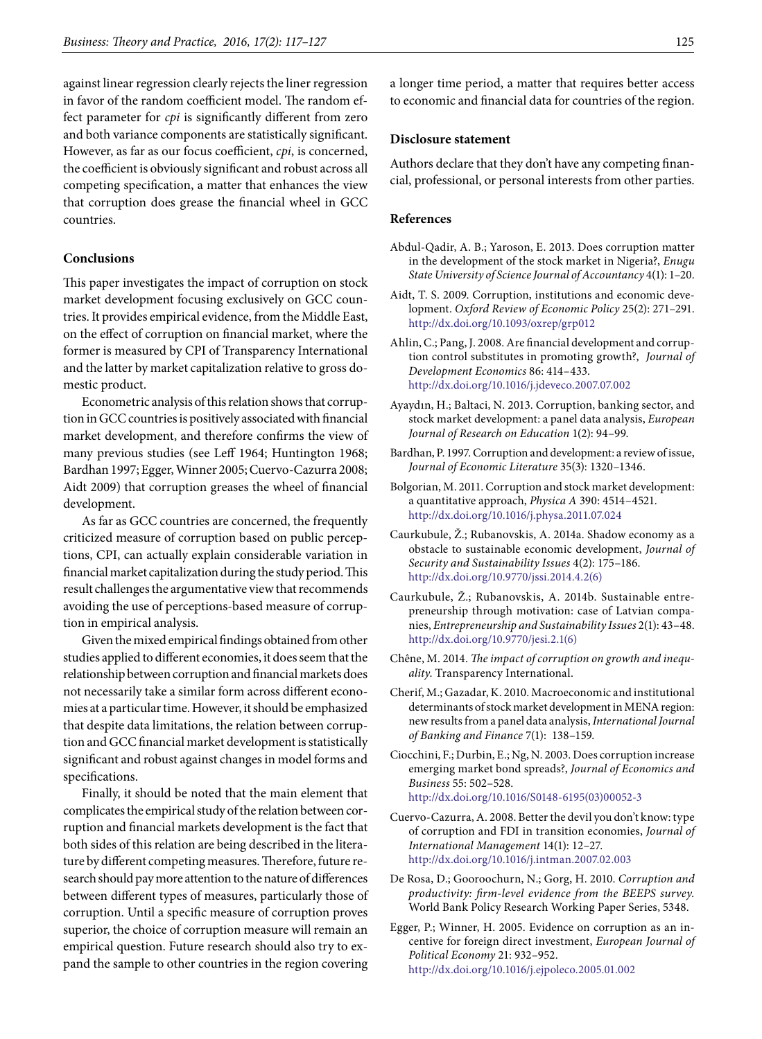against linear regression clearly rejects the liner regression in favor of the random coefficient model. The random effect parameter for *cpi* is significantly different from zero and both variance components are statistically significant. However, as far as our focus coefficient, *cpi*, is concerned, the coefficient is obviously significant and robust across all competing specification, a matter that enhances the view that corruption does grease the financial wheel in GCC countries.

#### **Conclusions**

This paper investigates the impact of corruption on stock market development focusing exclusively on GCC countries. It provides empirical evidence, from the Middle East, on the effect of corruption on financial market, where the former is measured by CPI of Transparency International and the latter by market capitalization relative to gross domestic product.

Econometric analysis of this relation shows that corruption in GCC countries is positively associated with financial market development, and therefore confirms the view of many previous studies (see Leff 1964; Huntington 1968; Bardhan 1997; Egger, Winner 2005; Cuervo-Cazurra 2008; Aidt 2009) that corruption greases the wheel of financial development.

As far as GCC countries are concerned, the frequently criticized measure of corruption based on public perceptions, CPI, can actually explain considerable variation in financial market capitalization during the study period. This result challenges the argumentative view that recommends avoiding the use of perceptions-based measure of corruption in empirical analysis.

Given the mixed empirical findings obtained from other studies applied to different economies, it does seem that the relationship between corruption and financial markets does not necessarily take a similar form across different economies at a particular time. However, it should be emphasized that despite data limitations, the relation between corruption and GCC financial market development is statistically significant and robust against changes in model forms and specifications.

Finally, it should be noted that the main element that complicates the empirical study of the relation between corruption and financial markets development is the fact that both sides of this relation are being described in the literature by different competing measures. Therefore, future research should pay more attention to the nature of differences between different types of measures, particularly those of corruption. Until a specific measure of corruption proves superior, the choice of corruption measure will remain an empirical question. Future research should also try to expand the sample to other countries in the region covering

a longer time period, a matter that requires better access to economic and financial data for countries of the region.

## **Disclosure statement**

Authors declare that they don't have any competing financial, professional, or personal interests from other parties.

## **References**

- Abdul-Qadir, A. B.; Yaroson, E. 2013. Does corruption matter in the development of the stock market in Nigeria?, *Enugu State University of Science Journal of Accountancy* 4(1): 1–20.
- Aidt, T. S. 2009. Corruption, institutions and economic development. *Oxford Review of Economic Policy* 25(2): 271–291. <http://dx.doi.org/10.1093/oxrep/grp012>
- Ahlin, C.; Pang, J. 2008. Are financial development and corruption control substitutes in promoting growth?, *Journal of Development Economics* 86: 414–433. <http://dx.doi.org/10.1016/j.jdeveco.2007.07.002>
- Ayaydın, H.; Baltaci, N. 2013. Corruption, banking sector, and stock market development: a panel data analysis, *European Journal of Research on Education* 1(2): 94–99.
- Bardhan, P. 1997. Corruption and development: a review of issue, *Journal of Economic Literature* 35(3): 1320–1346.
- Bolgorian, M. 2011. Corruption and stock market development: a quantitative approach, *Physica A* 390: 4514–4521. <http://dx.doi.org/10.1016/j.physa.2011.07.024>
- Caurkubule, Ž.; Rubanovskis, A. 2014a. Shadow economy as a obstacle to sustainable economic development, *Journal of Security and Sustainability Issues* 4(2): 175–186. [http://dx.doi.org/10.9770/jssi.2014.4.2\(6\)](http://dx.doi.org/10.9770/jssi.2014.4.2(6))
- Caurkubule, Ž.; Rubanovskis, A. 2014b. Sustainable entrepreneurship through motivation: case of Latvian companies, *Entrepreneurship and Sustainability Issues* 2(1): 43–48. [http://dx.doi.org/10.9770/jesi.2.1\(6\)](http://dx.doi.org/10.9770/jesi.2.1(6))
- Chêne, M. 2014. *The impact of corruption on growth and inequality*. Transparency International.
- Cherif, M.; Gazadar, K. 2010. Macroeconomic and institutional determinants of stock market development in MENA region: new results from a panel data analysis, *International Journal of Banking and Finance* 7(1): 138–159.
- Ciocchini, F.; Durbin, E.; Ng, N. 2003. Does corruption increase emerging market bond spreads?, *Journal of Economics and Business* 55: 502–528. [http://dx.doi.org/10.1016/S0148-6195\(03\)00052-3](http://dx.doi.org/10.1016/S0148-6195(03)00052-3)
- Cuervo-Cazurra, A. 2008. [Better the devil you don't know: type](http://papers.ssrn.com/sol3/papers.cfm?abstract_id=1059221) [of corruption and FDI in transition economies](http://papers.ssrn.com/sol3/papers.cfm?abstract_id=1059221), *Journal of International Management* 14(1): 12–27. <http://dx.doi.org/10.1016/j.intman.2007.02.003>
- De Rosa, D.; Gooroochurn, N.; Gorg, H. 2010. *Corruption and productivity: firm-level evidence from the BEEPS survey.* World Bank Policy Research Working Paper Series, 5348.
- Egger, P.; Winner, H. 2005. Evidence on corruption as an incentive for foreign direct investment, *European Journal of Political Economy* 21: 932–952. <http://dx.doi.org/10.1016/j.ejpoleco.2005.01.002>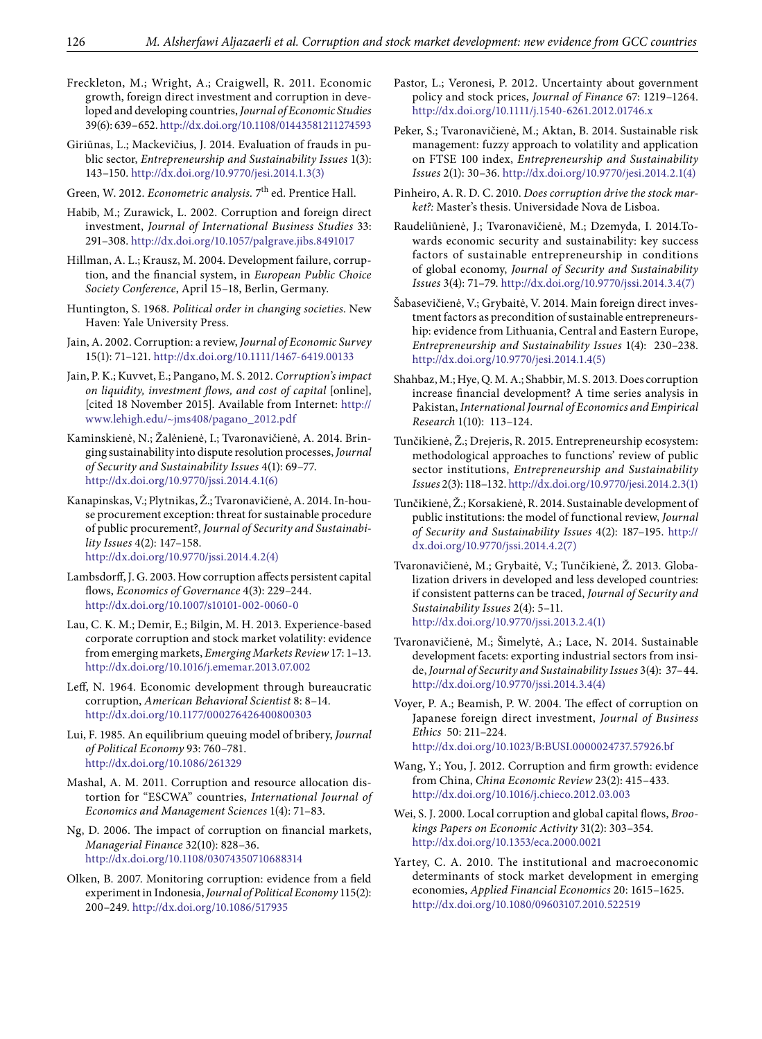Freckleton, M.; Wright, A.; Craigwell, R. 2011. Economic growth, foreign direct investment and corruption in developed and developing countries, *Journal of Economic Studies* 39(6): 639–652.<http://dx.doi.org/10.1108/01443581211274593>

Giriūnas, L.; Mackevičius, J. 2014. Evaluation of frauds in public sector, *Entrepreneurship and Sustainability Issues* 1(3): 143–150. [http://dx.doi.org/10.9770/jesi.2014.1.3\(3\)](http://dx.doi.org/10.9770/jesi.2014.1.3(3))

Green, W. 2012. *Econometric analysis*. 7<sup>th</sup> ed. Prentice Hall.

Habib, M.; Zurawick, L. 2002. Corruption and foreign direct investment, *Journal of International Business Studies* 33: 291–308.<http://dx.doi.org/10.1057/palgrave.jibs.8491017>

Hillman, A. L.; Krausz, M. 2004. Development failure, corruption, and the financial system, in *European Public Choice Society Conference*, April 15–18, Berlin, Germany.

Huntington, S. 1968. *Political order in changing societies*. New Haven: Yale University Press.

Jain, A. 2002. Corruption: a review, *Journal of Economic Survey* 15(1): 71–121.<http://dx.doi.org/10.1111/1467-6419.00133>

Jain, P. K.; Kuvvet, E.; Pangano, M. S. 2012. *Corruption's impact on liquidity, investment flows, and cost of capital* [online], [cited 18 November 2015]. Available from Internet: [http://](http://www.lehigh.edu/~jms408/pagano_2012.pdf) [www.lehigh.edu/~jms408/pagano\\_2012.pdf](http://www.lehigh.edu/~jms408/pagano_2012.pdf)

Kaminskienė, N.; Žalėnienė, I.; Tvaronavičienė, A. 2014. Bringing sustainability into dispute resolution processes, *Journal of Security and Sustainability Issues* 4(1): 69–77. [http://dx.doi.org/10.9770/jssi.2014.4.1\(6\)](http://dx.doi.org/10.9770/jssi.2014.4.1(6))

Kanapinskas, V.; Plytnikas, Ž.; Tvaronavičienė, A. 2014. In-house procurement exception: threat for sustainable procedure of public procurement?, *Journal of Security and Sustainability Issues* 4(2): 147–158.

[http://dx.doi.org/10.9770/jssi.2014.4.2\(4\)](http://dx.doi.org/10.9770/jssi.2014.4.2(4))

Lambsdorff, J. G. 2003. How corruption affects persistent capital flows, *Economics of Governance* 4(3): 229–244. <http://dx.doi.org/10.1007/s10101-002-0060-0>

Lau, C. K. M.; Demir, E.; Bilgin, M. H. 2013. Experience-based corporate corruption and stock market volatility: evidence from emerging markets, *Emerging Markets Review* 17: 1–13. <http://dx.doi.org/10.1016/j.ememar.2013.07.002>

Leff, N. 1964. Economic development through bureaucratic corruption, *American Behavioral Scientist* 8: 8–14. <http://dx.doi.org/10.1177/000276426400800303>

Lui, F. 1985. An equilibrium queuing model of bribery, *Journal of Political Economy* 93: 760–781. <http://dx.doi.org/10.1086/261329>

Mashal, A. M. 2011. Corruption and resource allocation distortion for "ESCWA" countries, *International Journal of Economics and Management Sciences* 1(4): 71–83.

Ng, D. 2006. The impact of corruption on financial markets, *Managerial Finance* 32(10): 828–36. <http://dx.doi.org/10.1108/03074350710688314>

Olken, B. 2007. Monitoring corruption: evidence from a field experiment in Indonesia, *Journal of Political Economy* 115(2): 200–249. <http://dx.doi.org/10.1086/517935>

Pastor, L.; Veronesi, P. 2012. Uncertainty about government policy and stock prices, *Journal of Finance* 67: 1219–1264. <http://dx.doi.org/10.1111/j.1540-6261.2012.01746.x>

Peker, S.; Tvaronavičienė, M.; Aktan, B. 2014. Sustainable risk management: fuzzy approach to volatility and application on FTSE 100 index, *Entrepreneurship and Sustainability Issues* 2(1): 30–36. [http://dx.doi.org/10.9770/jesi.2014.2.1\(4\)](http://dx.doi.org/10.9770/jesi.2014.2.1(4))

Pinheiro, A. R. D. C. 2010. *Does corruption drive the stock market?:* Master's thesis. Universidade Nova de Lisboa.

Raudeliūnienė, J.; Tvaronavičienė, M.; Dzemyda, I. 2014.Towards economic security and sustainability: key success factors of sustainable entrepreneurship in conditions of global economy, *Journal of Security and Sustainability Issues* 3(4): 71–79. [http://dx.doi.org/10.9770/jssi.2014.3.4\(7\)](http://dx.doi.org/10.9770/jssi.2014.3.4(7))

Šabasevičienė, V.; Grybaitė, V. 2014. Main foreign direct investment factors as precondition of sustainable entrepreneurship: evidence from Lithuania, Central and Eastern Europe, *Entrepreneurship and Sustainability Issues* 1(4): 230–238. [http://dx.doi.org/10.9770/jesi.2014.1.4\(5\)](http://dx.doi.org/10.9770/jesi.2014.1.4(5))

Shahbaz, M.; Hye, Q. M. A.; Shabbir, M. S. 2013. Does corruption increase financial development? A time series analysis in Pakistan, *International Journal of Economics and Empirical Research* 1(10): 113–124.

Tunčikienė, Ž.; Drejeris, R. 2015. Entrepreneurship ecosystem: methodological approaches to functions' review of public sector institutions, *Entrepreneurship and Sustainability Issues* 2(3): 118–132. [http://dx.doi.org/10.9770/jesi.2014.2.3\(1\)](http://dx.doi.org/10.9770/jesi.2014.2.3(1))

Tunčikienė, Ž.; Korsakienė, R. 2014. Sustainable development of public institutions: the model of functional review, *Journal of Security and Sustainability Issues* 4(2): 187–195. [http://](http://dx.doi.org/10.9770/jssi.2014.4.2(7)) [dx.doi.org/10.9770/jssi.2014.4.2\(7\)](http://dx.doi.org/10.9770/jssi.2014.4.2(7))

Tvaronavičienė, M.; Grybaitė, V.; Tunčikienė, Ž. 2013. Globalization drivers in developed and less developed countries: if consistent patterns can be traced, *Journal of Security and Sustainability Issues* 2(4): 5–11. [http://dx.doi.org/10.9770/jssi.2013.2.4\(1\)](http://dx.doi.org/10.9770/jssi.2013.2.4(1))

Tvaronavičienė, M.; Šimelytė, A.; Lace, N. 2014. Sustainable development facets: exporting industrial sectors from inside, *Journal of Security and Sustainability Issues* 3(4): 37–44. [http://dx.doi.org/10.9770/jssi.2014.3.4\(4\)](http://dx.doi.org/10.9770/jssi.2014.3.4(4))

Voyer, P. A.; Beamish, P. W. 2004. The effect of corruption on Japanese foreign direct investment, *Journal of Business Ethics* 50: 211–224. <http://dx.doi.org/10.1023/B:BUSI.0000024737.57926.bf>

Wang, Y.; You, J. 2012. Corruption and firm growth: evidence from China, *China Economic Review* 23(2): 415–433. <http://dx.doi.org/10.1016/j.chieco.2012.03.003>

Wei, S. J. 2000. Local corruption and global capital flows, *Brookings Papers on Economic Activity* 31(2): 303–354. <http://dx.doi.org/10.1353/eca.2000.0021>

Yartey, C. A. 2010. The institutional and macroeconomic determinants of stock market development in emerging economies, *Applied Financial Economics* 20: 1615–1625. <http://dx.doi.org/10.1080/09603107.2010.522519>